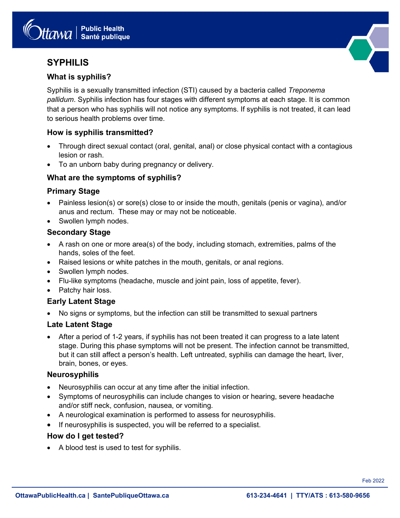# **SYPHILIS**

# **What is syphilis?**

Syphilis is a sexually transmitted infection (STI) caused by a bacteria called *Treponema pallidum*. Syphilis infection has four stages with different symptoms at each stage. It is common that a person who has syphilis will not notice any symptoms. If syphilis is not treated, it can lead to serious health problems over time.

# **How is syphilis transmitted?**

- Through direct sexual contact (oral, genital, anal) or close physical contact with a contagious lesion or rash.
- To an unborn baby during pregnancy or delivery.

# **What are the symptoms of syphilis?**

#### **Primary Stage**

- Painless lesion(s) or sore(s) close to or inside the mouth, genitals (penis or vagina), and/or anus and rectum. These may or may not be noticeable.
- Swollen lymph nodes.

# **Secondary Stage**

- A rash on one or more area(s) of the body, including stomach, extremities, palms of the hands, soles of the feet.
- Raised lesions or white patches in the mouth, genitals, or anal regions.
- Swollen lymph nodes.
- Flu-like symptoms (headache, muscle and joint pain, loss of appetite, fever).
- Patchy hair loss.

# **Early Latent Stage**

• No signs or symptoms, but the infection can still be transmitted to sexual partners

# **Late Latent Stage**

• After a period of 1-2 years, if syphilis has not been treated it can progress to a late latent stage. During this phase symptoms will not be present. The infection cannot be transmitted, but it can still affect a person's health. Left untreated, syphilis can damage the heart, liver, brain, bones, or eyes.

#### **Neurosyphilis**

- Neurosyphilis can occur at any time after the initial infection.
- Symptoms of neurosyphilis can include changes to vision or hearing, severe headache and/or stiff neck, confusion, nausea, or vomiting.
- A neurological examination is performed to assess for neurosyphilis.
- If neurosyphilis is suspected, you will be referred to a specialist.

# **How do I get tested?**

• A blood test is used to test for syphilis.